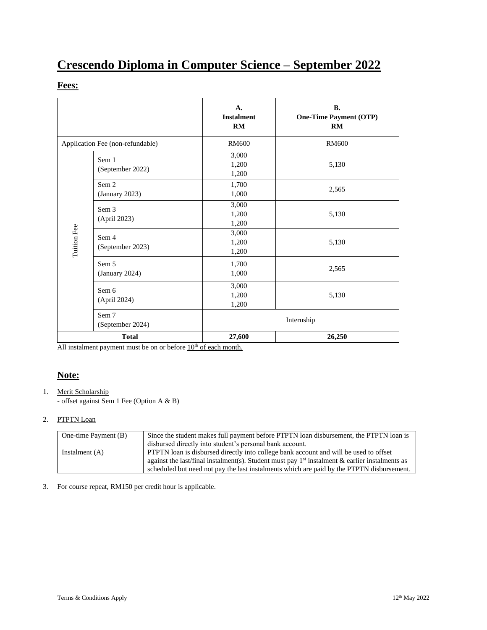# **Crescendo Diploma in Computer Science – September 2022**

## **Fees:**

|                                  |                           | A.<br><b>Instalment</b><br>RM | <b>B.</b><br><b>One-Time Payment (OTP)</b><br>RM |
|----------------------------------|---------------------------|-------------------------------|--------------------------------------------------|
| Application Fee (non-refundable) |                           | <b>RM600</b>                  | <b>RM600</b>                                     |
|                                  | Sem 1<br>(September 2022) | 3,000<br>1,200<br>1,200       | 5,130                                            |
|                                  | Sem 2<br>(January 2023)   | 1,700<br>1,000                | 2,565                                            |
| Tuition Fee                      | Sem 3<br>(April 2023)     | 3,000<br>1,200<br>1,200       | 5,130                                            |
|                                  | Sem 4<br>(September 2023) | 3,000<br>1,200<br>1,200       | 5,130                                            |
|                                  | Sem 5<br>(January 2024)   | 1,700<br>1,000                | 2,565                                            |
|                                  | Sem 6<br>(April 2024)     | 3,000<br>1,200<br>1,200       | 5,130                                            |
|                                  | Sem 7<br>(September 2024) |                               | Internship                                       |
| <b>Total</b>                     |                           | 27,600                        | 26,250                                           |

All instalment payment must be on or before  $10<sup>th</sup>$  of each month.

## **Note:**

#### 1. Merit Scholarship

- offset against Sem 1 Fee (Option A & B)

#### 2. PTPTN Loan

| One-time Payment (B) | Since the student makes full payment before PTPTN loan disbursement, the PTPTN loan is           |  |
|----------------------|--------------------------------------------------------------------------------------------------|--|
|                      | disbursed directly into student's personal bank account.                                         |  |
| Instalment $(A)$     | <b>PTPTN</b> loan is disbursed directly into college bank account and will be used to offset     |  |
|                      | against the last/final instalment(s). Student must pay $1st$ instalment & earlier instalments as |  |
|                      | scheduled but need not pay the last instalments which are paid by the PTPTN disbursement.        |  |

#### 3. For course repeat, RM150 per credit hour is applicable.